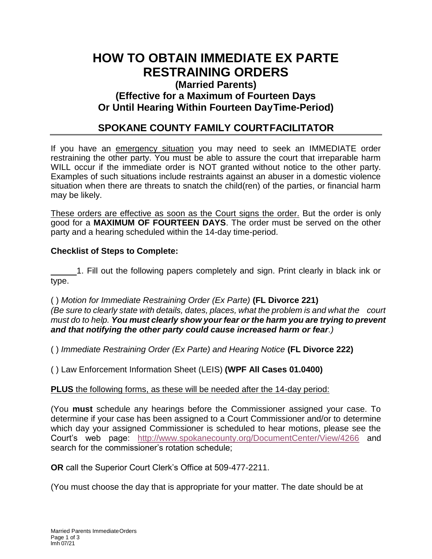# **HOW TO OBTAIN IMMEDIATE EX PARTE RESTRAINING ORDERS**

## **(Married Parents) (Effective for a Maximum of Fourteen Days Or Until Hearing Within Fourteen DayTime-Period)**

## **SPOKANE COUNTY FAMILY COURTFACILITATOR**

If you have an emergency situation you may need to seek an IMMEDIATE order restraining the other party. You must be able to assure the court that irreparable harm WILL occur if the immediate order is NOT granted without notice to the other party. Examples of such situations include restraints against an abuser in a domestic violence situation when there are threats to snatch the child(ren) of the parties, or financial harm may be likely.

These orders are effective as soon as the Court signs the order. But the order is only good for a **MAXIMUM OF FOURTEEN DAYS**. The order must be served on the other party and a hearing scheduled within the 14-day time-period.

#### **Checklist of Steps to Complete:**

 1. Fill out the following papers completely and sign. Print clearly in black ink or type.

( ) *Motion for Immediate Restraining Order (Ex Parte)* **(FL Divorce 221)**  *(Be sure to clearly state with details, dates, places, what the problem is and what the court must do to help. You must clearly show your fear or the harm you are trying to prevent and that notifying the other party could cause increased harm or fear.)*

( ) *Immediate Restraining Order (Ex Parte) and Hearing Notice* **(FL Divorce 222)**

( ) Law Enforcement Information Sheet (LEIS) **(WPF All Cases 01.0400)** 

### **PLUS** the following forms, as these will be needed after the 14-day period:

(You **must** schedule any hearings before the Commissioner assigned your case. To determine if your case has been assigned to a Court Commissioner and/or to determine which day your assigned Commissioner is scheduled to hear motions, please see the Court's web page: <http://www.spokanecounty.org/DocumentCenter/View/4266> and search for the commissioner's rotation schedule;

**OR** call the Superior Court Clerk's Office at 509-477-2211.

(You must choose the day that is appropriate for your matter. The date should be at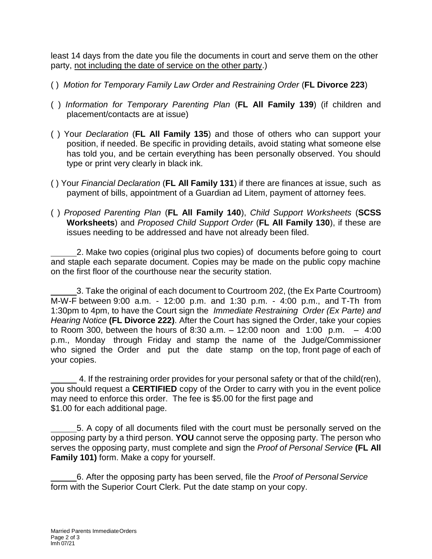least 14 days from the date you file the documents in court and serve them on the other party, not including the date of service on the other party.)

- ( ) *Motion for Temporary Family Law Order and Restraining Order* (**FL Divorce 223**)
- ( ) *Information for Temporary Parenting Plan* (**FL All Family 139**) (if children and placement/contacts are at issue)
- ( ) Your *Declaration* (**FL All Family 135**) and those of others who can support your position, if needed. Be specific in providing details, avoid stating what someone else has told you, and be certain everything has been personally observed. You should type or print very clearly in black ink.
- ( ) Your *Financial Declaration* (**FL All Family 131**) if there are finances at issue, such as payment of bills, appointment of a Guardian ad Litem, payment of attorney fees.
- ( ) *Proposed Parenting Plan* (**FL All Family 140**), *Child Support Worksheets* (**SCSS Worksheets**) and *Proposed Child Support Order* (**FL All Family 130**), if these are issues needing to be addressed and have not already been filed.

 2. Make two copies (original plus two copies) of documents before going to court and staple each separate document. Copies may be made on the public copy machine on the first floor of the courthouse near the security station.

 3. Take the original of each document to Courtroom 202, (the Ex Parte Courtroom) M-W-F between 9:00 a.m. - 12:00 p.m. and 1:30 p.m. - 4:00 p.m., and T-Th from 1:30pm to 4pm, to have the Court sign the *Immediate Restraining Order (Ex Parte) and Hearing Notice* **(FL Divorce 222)**. After the Court has signed the Order, take your copies to Room 300, between the hours of 8:30 a.m.  $-$  12:00 noon and 1:00 p.m.  $-$  4:00 p.m., Monday through Friday and stamp the name of the Judge/Commissioner who signed the Order and put the date stamp on the top, front page of each of your copies.

 4. If the restraining order provides for your personal safety or that of the child(ren), you should request a **CERTIFIED** copy of the Order to carry with you in the event police may need to enforce this order. The fee is \$5.00 for the first page and \$1.00 for each additional page.

 5. A copy of all documents filed with the court must be personally served on the opposing party by a third person. **YOU** cannot serve the opposing party. The person who serves the opposing party, must complete and sign the *Proof of Personal Service* **(FL All Family 101)** form. Make a copy for yourself.

6. After the opposing party has been served, file the *Proof of PersonalService* form with the Superior Court Clerk. Put the date stamp on your copy.